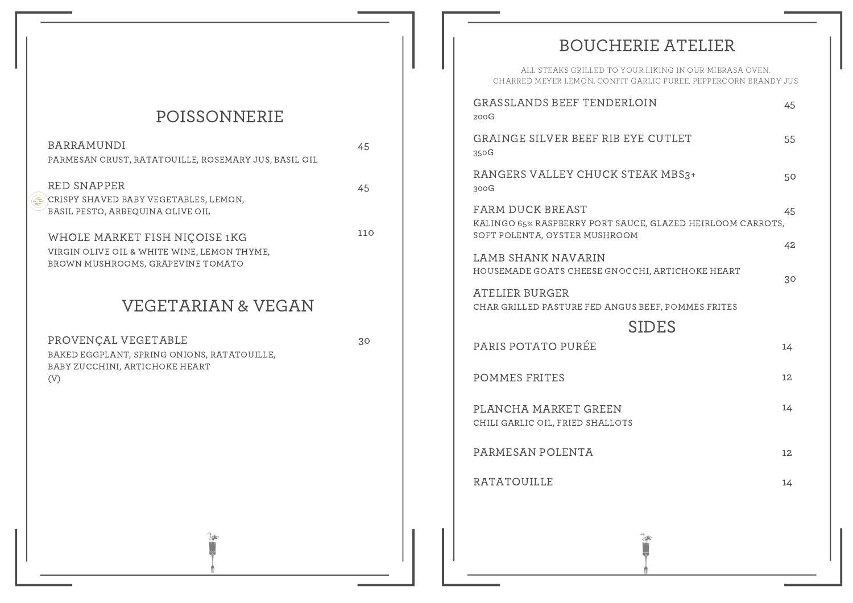# POISSONNERIE

| <b>BARRAMUNDI</b><br>PARMESAN CRUST, RATATOUILLE, ROSEMARY JUS, BASIL OIL                                         | 45  |
|-------------------------------------------------------------------------------------------------------------------|-----|
| RED SNAPPER<br>CRISPY SHAVED BABY VEGETABLES, LEMON,<br>BASIL PESTO, ARBEQUINA OLIVE OIL                          | 45  |
| WHOLE MARKET FISH NIÇOISE 1KG<br>VIRGIN OLIVE OIL & WHITE WINE, LEMON THYME,<br>BROWN MUSHROOMS, GRAPEVINE TOMATO | 110 |
| <b>VEGETARIAN &amp; VEGAN</b>                                                                                     |     |
| PROVENÇAL VEGETABLE<br>BAKED EGGPLANT, SPRING ONIONS, RATATOUILLE,<br>BABY ZUCCHINI, ARTICHOKE HEART<br>(V)       | 30  |
|                                                                                                                   |     |
|                                                                                                                   |     |
|                                                                                                                   |     |

# BOUCHERIE ATELIER

| ALL STEAKS GRILLED TO YOUR LIKING IN OUR MIBRASA OVEN.<br>CHARRED MEYER LEMON, CONFIT GARLIC PUREE, PEPPERCORN BRANDY JUS |          |  |
|---------------------------------------------------------------------------------------------------------------------------|----------|--|
| GRASSLANDS BEEF TENDERLOIN<br>200G                                                                                        | 45       |  |
| GRAINGE SILVER BEEF RIB EYE CUTLET<br>350G                                                                                | 55       |  |
| RANGERS VALLEY CHUCK STEAK MBS3+<br>300G                                                                                  | 50       |  |
| FARM DUCK BREAST<br>KALINGO 65% RASPBERRY PORT SAUCE, GLAZED HEIRLOOM CARROTS,<br>SOFT POLENTA, OYSTER MUSHROOM           | 45       |  |
| LAMB SHANK NAVARIN<br>HOUSEMADE GOATS CHEESE GNOCCHI, ARTICHOKE HEART                                                     | 42<br>30 |  |
| ATELIER BURGER<br>CHAR GRILLED PASTURE FED ANGUS BEEF, POMMES FRITES                                                      |          |  |
| <b>SIDES</b>                                                                                                              |          |  |
| PARIS POTATO PURÉE                                                                                                        | 14       |  |
| POMMES FRITES                                                                                                             | 12       |  |
| PLANCHA MARKET GREEN<br>CHILI GARLIC OIL, FRIED SHALLOTS                                                                  | 14       |  |
| PARMESAN POLENTA                                                                                                          | 12       |  |
| <b>RATATOUILLE</b>                                                                                                        | 14       |  |
|                                                                                                                           |          |  |

**PARK**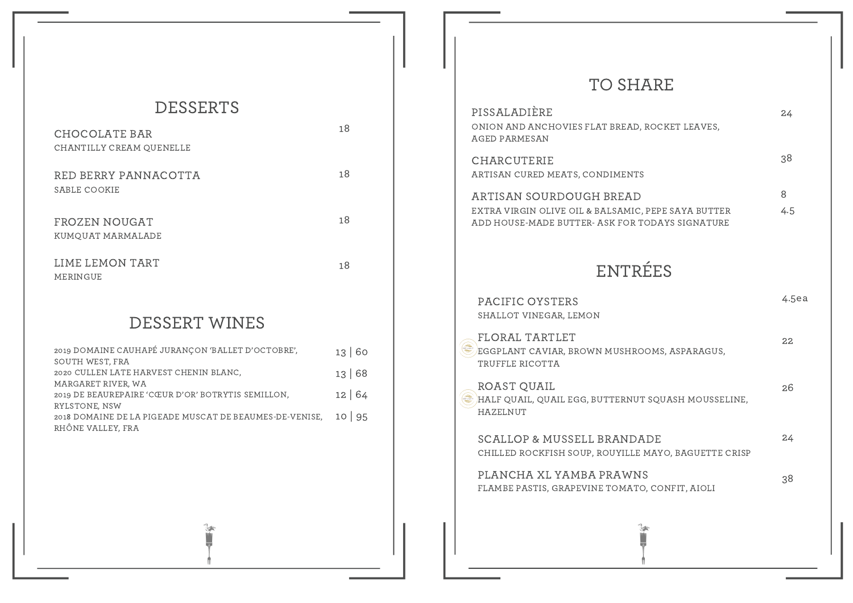# DESSERTS

| CHOCOLATE BAR<br>CHANTILLY CREAM QUENELLE | 18 |
|-------------------------------------------|----|
| RED BERRY PANNACOTTA<br>SABLE COOKIE      | 18 |
| FROZEN NOUGAT<br>KUMOUAT MARMALADE        | 18 |
| LIME LEMON TART<br>MERINGUE               | 18 |

# DESSERT WINES

| 2019 DOMAINE CAUHAPÉ JURANÇON 'BALLET D'OCTOBRE',       | 13 60 |
|---------------------------------------------------------|-------|
| SOUTH WEST, FRA                                         |       |
| 2020 CULLEN LATE HARVEST CHENIN BLANC,                  | 13 68 |
| MARGARET RIVER, WA                                      |       |
| 2019 DE BEAUREPAIRE 'CŒUR D'OR' BOTRYTIS SEMILLON,      | 12 64 |
| RYLSTONE, NSW                                           |       |
| 2018 DOMAINE DE LA PIGEADE MUSCAT DE BEAUMES-DE-VENISE, | 10 95 |
| RHÔNE VALLEY, FRA                                       |       |
|                                                         |       |

74

# TO SHARE

| PISSALADIÈRE<br>ONION AND ANCHOVIES FLAT BREAD, ROCKET LEAVES,<br>AGED PARMESAN                                                   | 24       |
|-----------------------------------------------------------------------------------------------------------------------------------|----------|
| CHARCUTERIE<br>ARTISAN CURED MEATS, CONDIMENTS                                                                                    | 38       |
| ARTISAN SOURDOUGH BREAD<br>EXTRA VIRGIN OLIVE OIL & BALSAMIC, PEPE SAYA BUTTER<br>ADD HOUSE-MADE BUTTER- ASK FOR TODAYS SIGNATURE | 8<br>4.5 |
| ENTRÉES                                                                                                                           |          |
| PACIFIC OYSTERS<br>SHALLOT VINEGAR, LEMON                                                                                         | 4.5ea    |
| <b>FLORAL TARTLET</b><br>'EGGPLANT CAVIAR, BROWN MUSHROOMS, ASPARAGUS,<br>TRUFFLE RICOTTA                                         | 22       |
| ROAST QUAIL<br>HALF QUAIL, QUAIL EGG, BUTTERNUT SQUASH MOUSSELINE,<br>HAZELNUT                                                    | 26       |
| SCALLOP & MUSSELL BRANDADE<br>CHILLED ROCKFISH SOUP, ROUYILLE MAYO, BAGUETTE CRISP                                                | 24       |
| PLANCHA XL YAMBA PRAWNS<br>FLAMBE PASTIS, GRAPEVINE TOMATO, CONFIT, AIOLI                                                         | 38       |
|                                                                                                                                   |          |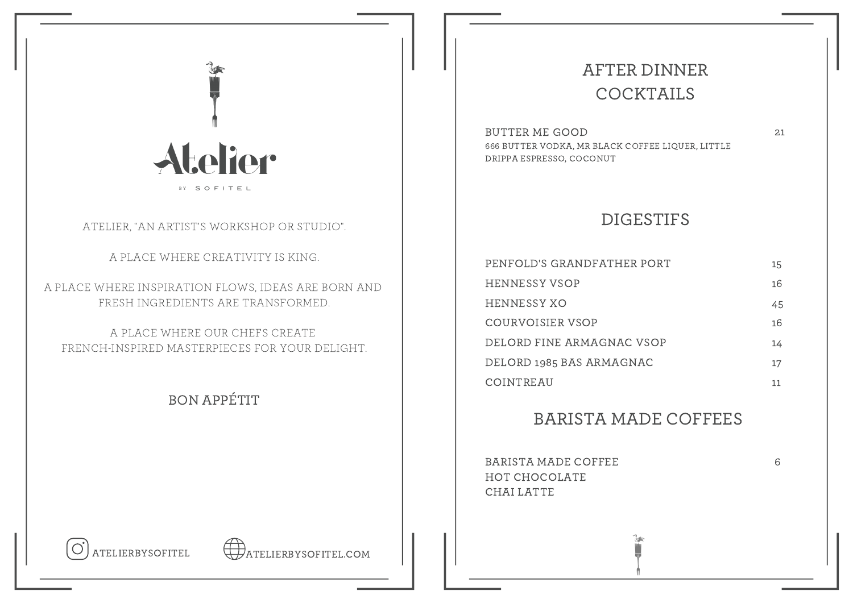

## ATELIER, "AN ARTIST'S WORKSHOP OR STUDIO".

A PLACE WHERE CREATIVITY IS KING.

A PLACE WHERE INSPIRATION FLOWS, IDEAS ARE BORN AND FRESH INGREDIENTS ARE TRANSFORMED.

A PLACE WHERE OUR CHEFS CREATE FRENCH-INSPIRED MASTERPIECES FOR YOUR DELIGHT.

## BON APPÉTIT

# AFTER DINNER COCKTAILS

BUTTER ME GOOD 666 BUTTER VODKA, MR BLACK COFFEE LIQUER, LITTLE DRIPPA ESPRESSO, COCONUT

## DIGESTIFS

| PENFOLD'S GRANDFATHER PORT | 15 |
|----------------------------|----|
| HENNESSY VSOP              | 16 |
| HENNESSY XO                | 45 |
| COURVOISIER VSOP           | 16 |
| DELORD FINE ARMAGNAC VSOP  | 14 |
| DELORD 1985 BAS ARMAGNAC   | 17 |
| COINTREAU                  |    |

## BARISTA MADE COFFEES

ŢЧ

BARISTA MADE COFFEE HOT CHOCOLATE CHAI LATTE

6